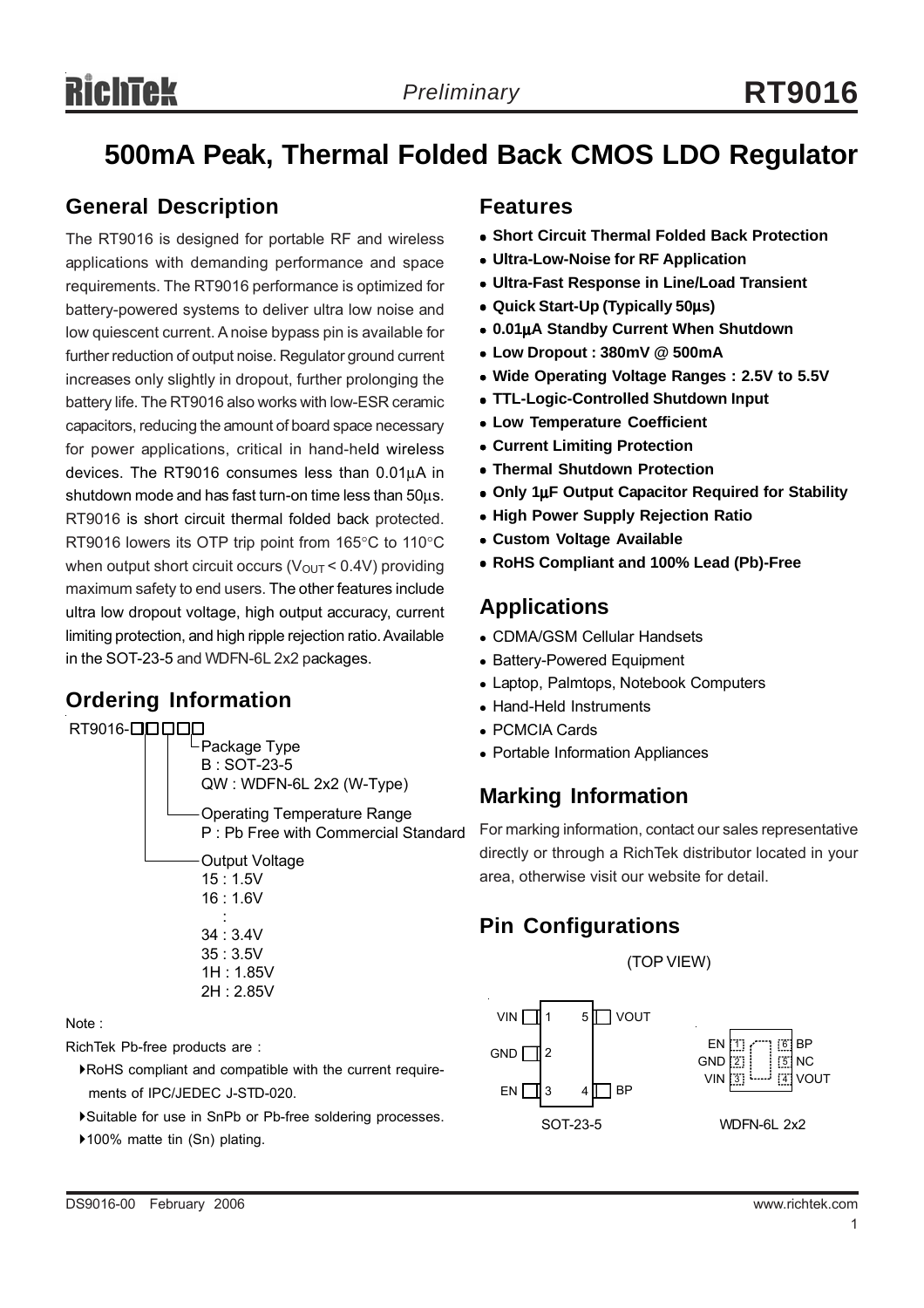## **500mA Peak, Thermal Folded Back CMOS LDO Regulator**

#### **General Description**

The RT9016 is designed for portable RF and wireless applications with demanding performance and space requirements. The RT9016 performance is optimized for battery-powered systems to deliver ultra low noise and low quiescent current. A noise bypass pin is available for further reduction of output noise. Regulator ground current increases only slightly in dropout, further prolonging the battery life. The RT9016 also works with low-ESR ceramic capacitors, reducing the amount of board space necessary for power applications, critical in hand-held wireless devices. The RT9016 consumes less than 0.01μA in shutdown mode and has fast turn-on time less than 50μs. RT9016 is short circuit thermal folded back protected. RT9016 lowers its OTP trip point from 165°C to 110°C when output short circuit occurs ( $V_{\text{OUT}}$  < 0.4V) providing maximum safety to end users. The other features include ultra low dropout voltage, high output accuracy, current limiting protection, and high ripple rejection ratio. Available in the SOT-23-5 and WDFN-6L 2x2 packages.

#### **Ordering Information**



#### Note :

RichTek Pb-free products are :

- `RoHS compliant and compatible with the current require ments of IPC/JEDEC J-STD-020.
- `Suitable for use in SnPb or Pb-free soldering processes.
- ▶100% matte tin (Sn) plating.

#### **Features**

- **Short Circuit Thermal Folded Back Protection**
- **Ultra-Low-Noise for RF Application**
- <sup>z</sup> **Ultra-Fast Response in Line/Load Transient**
- <sup>z</sup> **Quick Start-Up (Typically 50**μ**s)**
- <sup>z</sup> **0.01**μ**A Standby Current When Shutdown**
- <sup>z</sup> **Low Dropout : 380mV @ 500mA**
- Wide Operating Voltage Ranges : 2.5V to 5.5V
- <sup>z</sup> **TTL-Logic-Controlled Shutdown Input**
- **Low Temperature Coefficient**
- **Current Limiting Protection**
- **Thermal Shutdown Protection**
- Only 1μF Output Capacitor Required for Stability
- **High Power Supply Rejection Ratio**
- **Custom Voltage Available**
- <sup>z</sup> **RoHS Compliant and 100% Lead (Pb)-Free**

#### **Applications**

- CDMA/GSM Cellular Handsets
- Battery-Powered Equipment
- Laptop, Palmtops, Notebook Computers
- Hand-Held Instruments
- <sup>z</sup> PCMCIA Cards
- Portable Information Appliances

### **Marking Information**

For marking information, contact our sales representative directly or through a RichTek distributor located in your area, otherwise visit our website for detail.

#### **Pin Configurations**

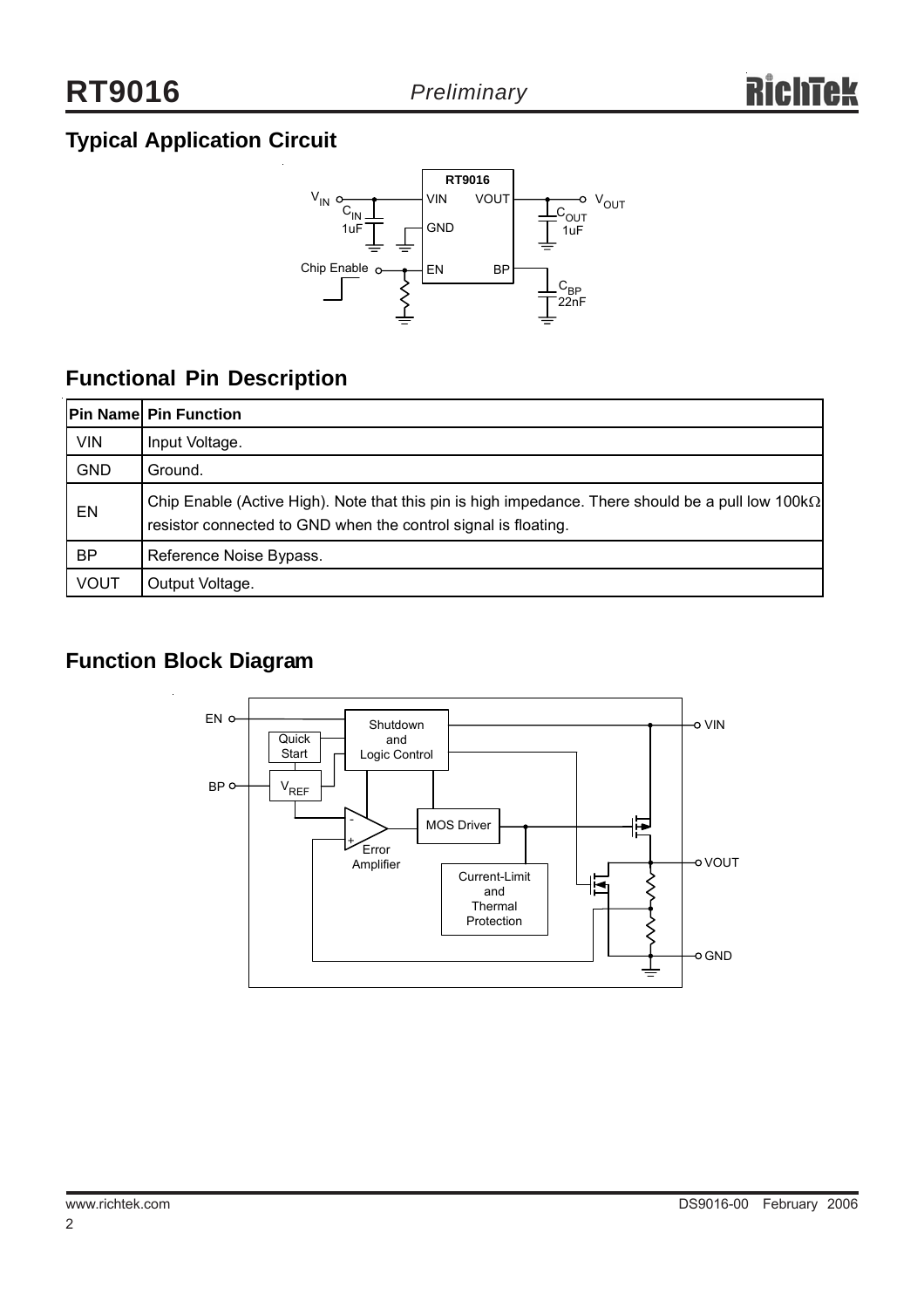### **Typical Application Circuit**



### **Functional Pin Description**

|             | <b>Pin Name Pin Function</b>                                                                                                                                                |
|-------------|-----------------------------------------------------------------------------------------------------------------------------------------------------------------------------|
| <b>VIN</b>  | Input Voltage.                                                                                                                                                              |
| <b>GND</b>  | Ground.                                                                                                                                                                     |
| EN          | Chip Enable (Active High). Note that this pin is high impedance. There should be a pull low 100k $\Omega$<br>resistor connected to GND when the control signal is floating. |
| <b>BP</b>   | Reference Noise Bypass.                                                                                                                                                     |
| <b>VOUT</b> | Output Voltage.                                                                                                                                                             |

### **Function Block Diagram**

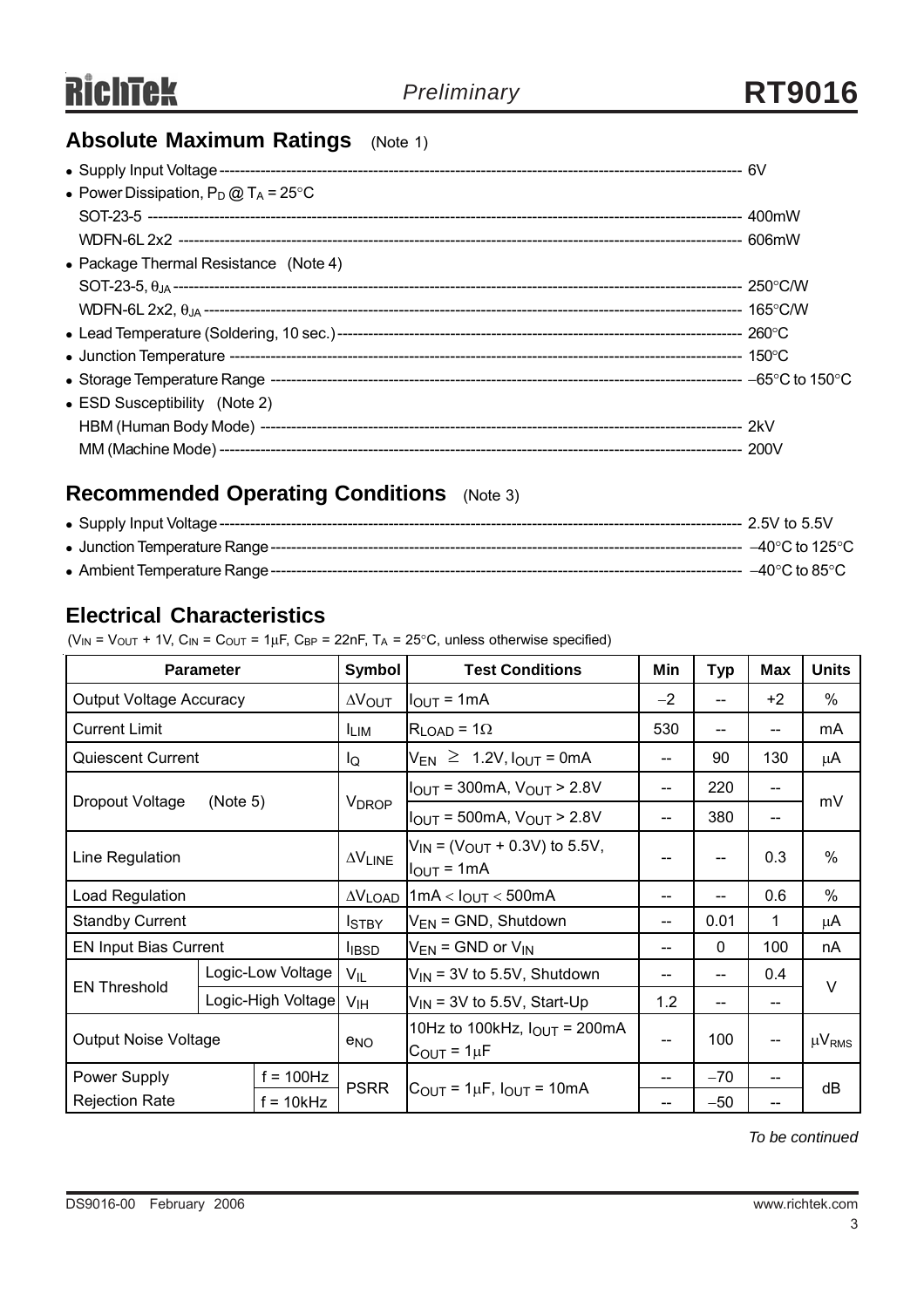### **Absolute Maximum Ratings** (Note 1)

| • Power Dissipation, $P_D @ T_A = 25^{\circ}C$ |  |
|------------------------------------------------|--|
|                                                |  |
|                                                |  |
| • Package Thermal Resistance (Note 4)          |  |
|                                                |  |
|                                                |  |
|                                                |  |
|                                                |  |
|                                                |  |
| • ESD Susceptibility (Note 2)                  |  |
|                                                |  |
|                                                |  |
|                                                |  |

### **Recommended Operating Conditions** (Note 3)

| • Supply Input Voltage ------ | --- 2.5V to 5.5V              |
|-------------------------------|-------------------------------|
|                               | –40°C to 125°C $\,$           |
|                               | $-40^\circ\mathrm{C}$ to 85°C |

#### **Electrical Characteristics**

 $(V_{IN} = V_{OUT} + 1V, C_{IN} = C_{OUT} = 1\mu F, C_{BP} = 22nF, T_A = 25°C$ , unless otherwise specified)

| <b>Parameter</b>                     |                                         | Symbol               | <b>Test Conditions</b>                                                                 | Min                                                      | <b>Typ</b> | Max          | <b>Units</b>  |        |  |
|--------------------------------------|-----------------------------------------|----------------------|----------------------------------------------------------------------------------------|----------------------------------------------------------|------------|--------------|---------------|--------|--|
| <b>Output Voltage Accuracy</b>       |                                         | $\Delta V_{\rm OUT}$ | $I_{\text{OUT}} = 1 \text{mA}$                                                         | $-2$                                                     | $- -$      | $+2$         | $\%$          |        |  |
| <b>Current Limit</b>                 |                                         |                      | <b>LIM</b>                                                                             | $R_{LOAD}$ = 1 $\Omega$                                  | 530        | --           |               | mA     |  |
| <b>Quiescent Current</b>             |                                         |                      | lQ                                                                                     | $V_{EN} \geq 1.2V$ , $I_{OUT} = 0$ mA                    | --         | 90           | 130           | μA     |  |
|                                      |                                         |                      |                                                                                        | $I_{\text{OUT}}$ = 300mA, $V_{\text{OUT}}$ > 2.8V        | $-$        | 220          |               |        |  |
| Dropout Voltage<br>(Note 5)          |                                         |                      | <b>V<sub>DROP</sub></b>                                                                | $I_{\text{OUT}} = 500 \text{mA}, V_{\text{OUT}} > 2.8 V$ | $-$        | 380          | --            | mV     |  |
| Line Regulation                      |                                         | $\Delta V$ LINE      | $V_{\text{IN}}$ = (V <sub>OUT</sub> + 0.3V) to 5.5V,<br>$I_{\text{OUT}} = 1 \text{mA}$ |                                                          | --         | 0.3          | $\frac{0}{0}$ |        |  |
| Load Regulation                      |                                         |                      |                                                                                        | $\Delta V_{\text{LOAD}}$ 1mA < $I_{\text{OUT}}$ < 500mA  | --         | --           | 0.6           | $\%$   |  |
| <b>Standby Current</b>               |                                         |                      | <b>I</b> STBY                                                                          | $V_{EN}$ = GND, Shutdown                                 | $-$        | 0.01         | 1             | μ $A$  |  |
| <b>EN Input Bias Current</b>         |                                         |                      | <b>I</b> IBSD                                                                          | $V_{EN}$ = GND or $V_{IN}$                               |            | $\mathbf{0}$ | 100           | nA     |  |
| <b>EN Threshold</b>                  | Logic-Low Voltage<br>Logic-High Voltage |                      | $V_{\parallel L}$                                                                      | $V_{IN}$ = 3V to 5.5V, Shutdown                          | --         | --           | 0.4           | $\vee$ |  |
|                                      |                                         |                      | V <sub>IH</sub>                                                                        | $V_{IN}$ = 3V to 5.5V, Start-Up                          | 1.2<br>--  |              | --            |        |  |
| <b>Output Noise Voltage</b>          |                                         | $e_{NO}$             | 10Hz to 100kHz, $I_{OUT}$ = 200mA<br>$C_{\text{OUT}} = 1 \mu F$                        |                                                          | 100        | $-$          | $\mu V_{RMS}$ |        |  |
| $f = 100$ Hz<br>Power Supply         |                                         |                      |                                                                                        |                                                          | $-70$      | --           | dB            |        |  |
| <b>Rejection Rate</b><br>$f = 10kHz$ |                                         | <b>PSRR</b>          | $C_{\text{OUT}} = 1 \mu F$ , $I_{\text{OUT}} = 10 \text{mA}$                           |                                                          | $-50$      |              |               |        |  |

*To be continued*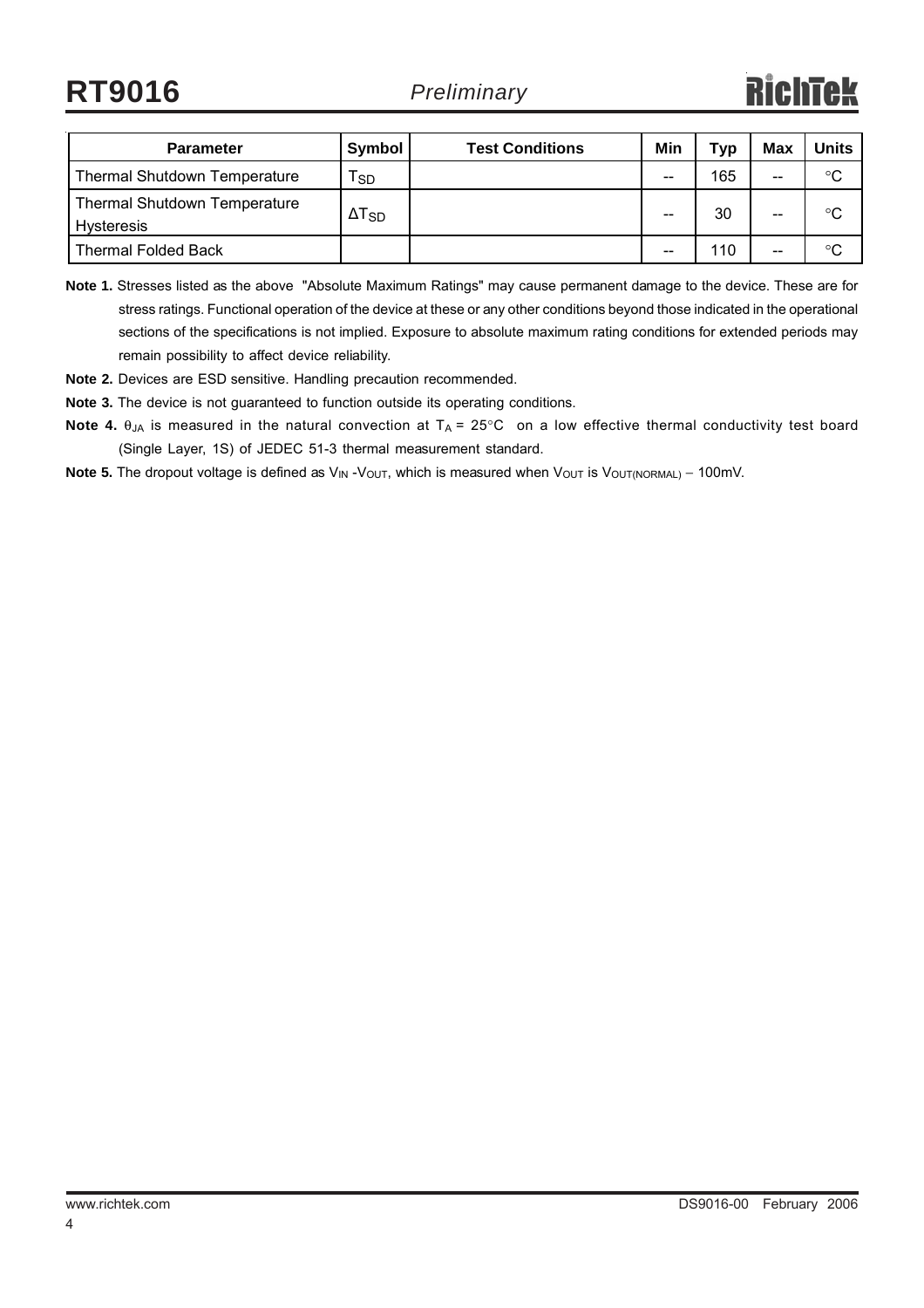**RT9016**

| <b>Parameter</b>                                  | Symbol          | <b>Test Conditions</b> | Min | Typ | Max   | <b>Units</b> |
|---------------------------------------------------|-----------------|------------------------|-----|-----|-------|--------------|
| <b>Thermal Shutdown Temperature</b>               | l sd            |                        | --  | 165 | $- -$ | °C           |
| <b>Thermal Shutdown Temperature</b><br>Hysteresis | $\Delta T_{SD}$ |                        | --  | 30  | $- -$ | °C           |
| <b>Thermal Folded Back</b>                        |                 |                        | --  | 110 | $- -$ | °C           |

**Note 1.** Stresses listed as the above "Absolute Maximum Ratings" may cause permanent damage to the device. These are for stress ratings. Functional operation of the device at these or any other conditions beyond those indicated in the operational sections of the specifications is not implied. Exposure to absolute maximum rating conditions for extended periods may remain possibility to affect device reliability.

**Note 2.** Devices are ESD sensitive. Handling precaution recommended.

**Note 3.** The device is not guaranteed to function outside its operating conditions.

- **Note 4.** θ<sub>JA</sub> is measured in the natural convection at T<sub>A</sub> = 25°C on a low effective thermal conductivity test board (Single Layer, 1S) of JEDEC 51-3 thermal measurement standard.
- Note 5. The dropout voltage is defined as V<sub>IN</sub> -V<sub>OUT</sub>, which is measured when V<sub>OUT</sub> is V<sub>OUT(NORMAL)</sub> 100mV.

4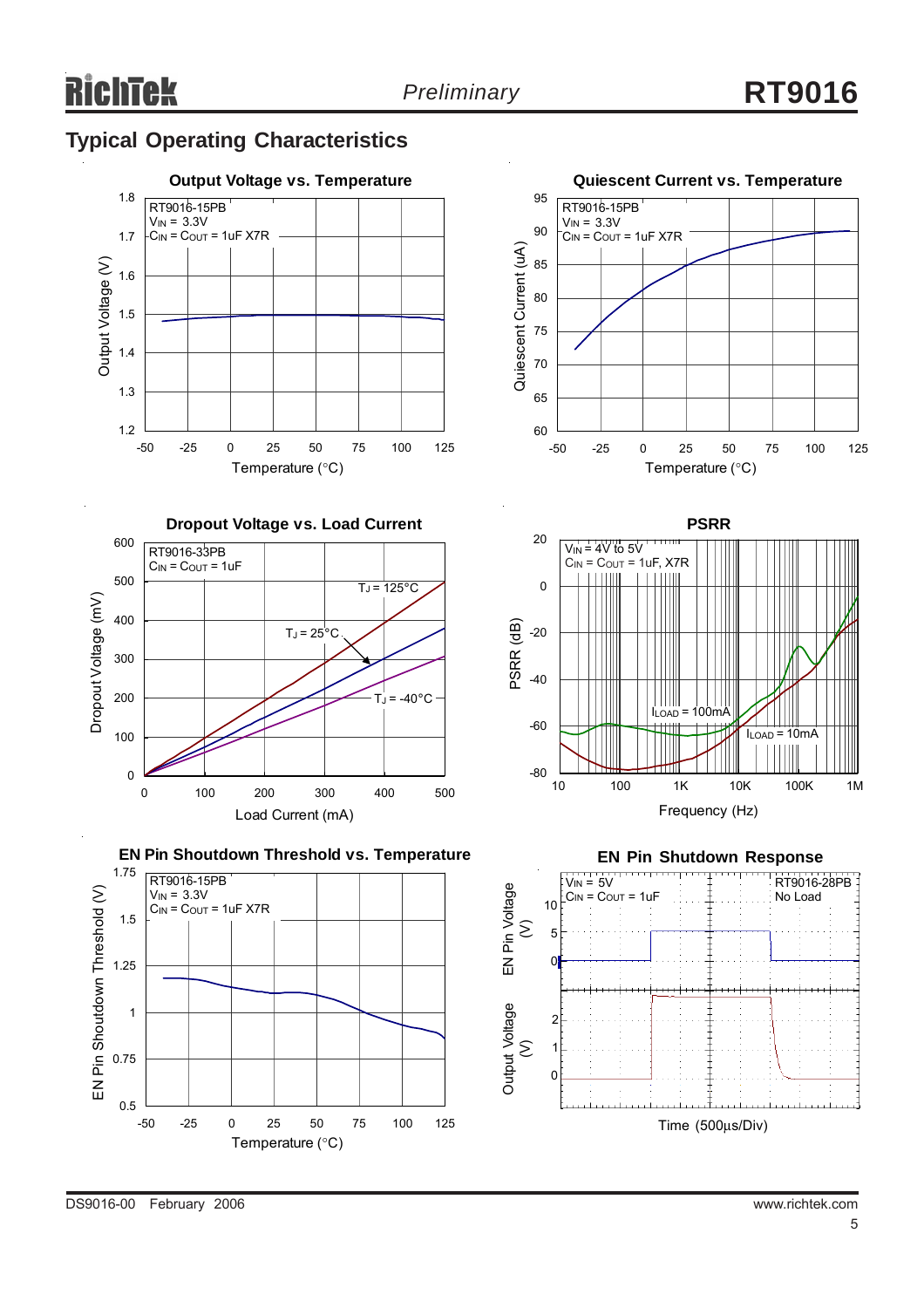### **Typical Operating Characteristics**







**EN Pin Shoutdown Threshold vs. Temperature**







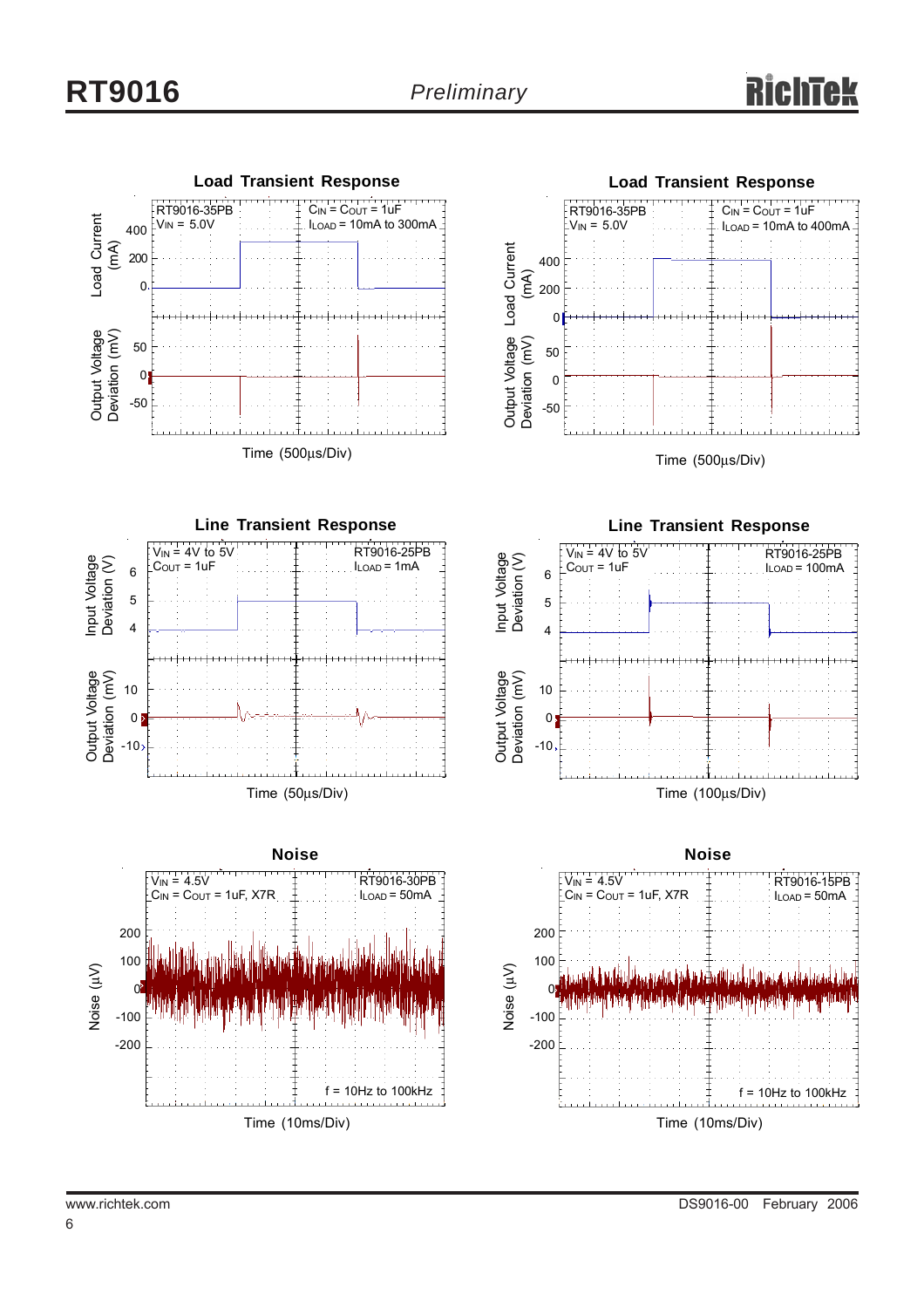



Time (500μs/Div)







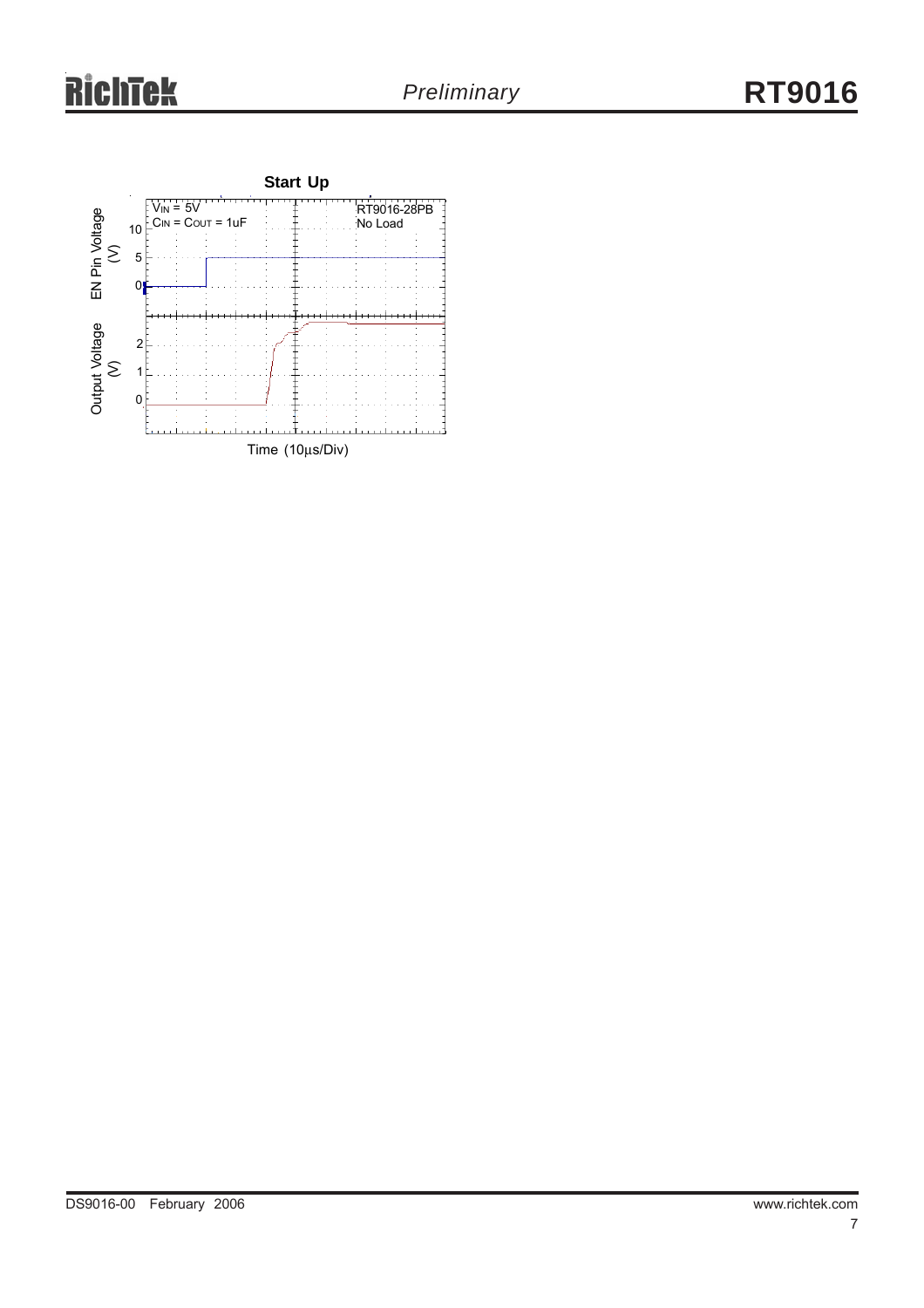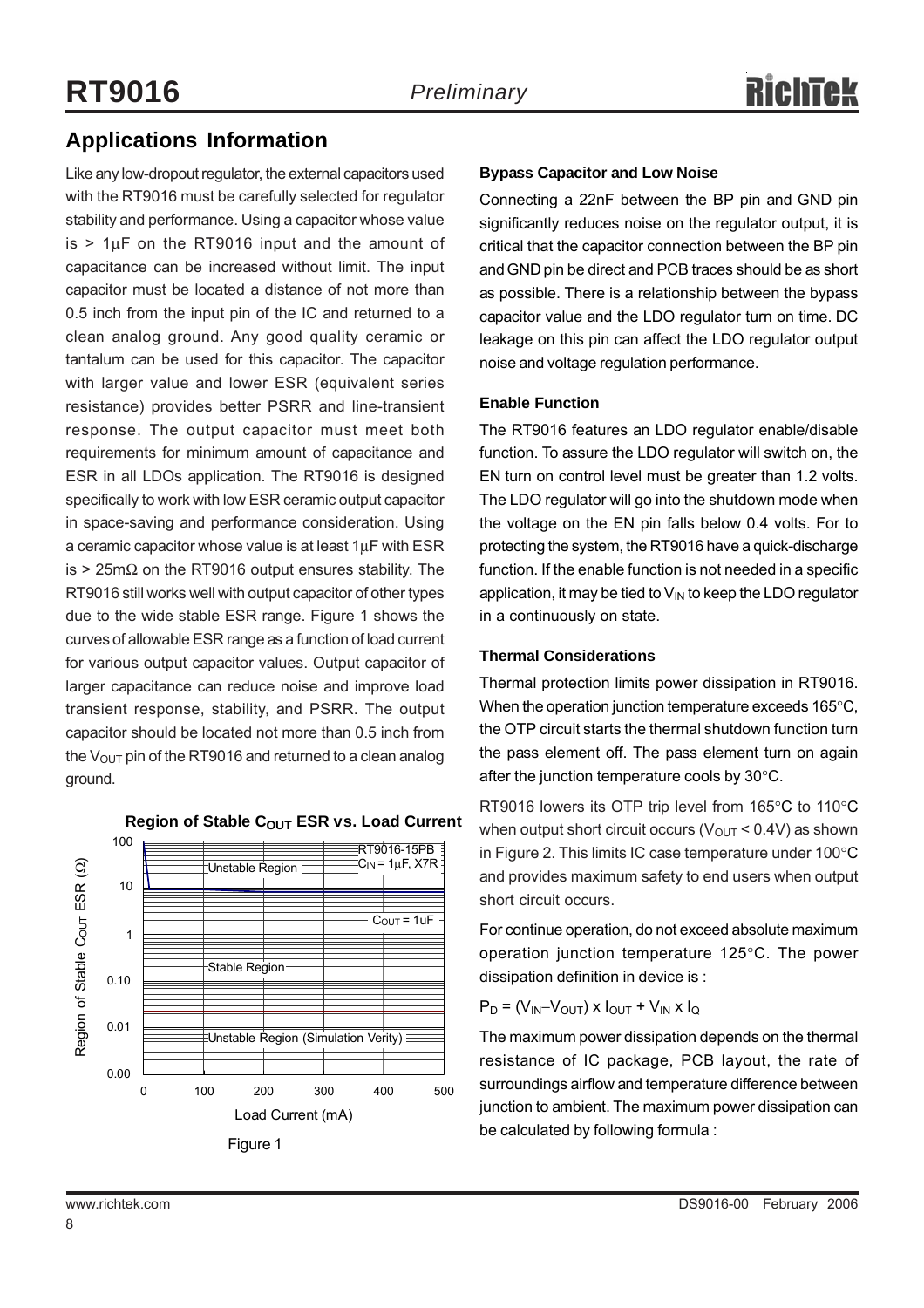### **Applications Information**

Like any low-dropout regulator, the external capacitors used with the RT9016 must be carefully selected for regulator stability and performance. Using a capacitor whose value is  $> 1\mu$ F on the RT9016 input and the amount of capacitance can be increased without limit. The input capacitor must be located a distance of not more than 0.5 inch from the input pin of the IC and returned to a clean analog ground. Any good quality ceramic or tantalum can be used for this capacitor. The capacitor with larger value and lower ESR (equivalent series resistance) provides better PSRR and line-transient response. The output capacitor must meet both requirements for minimum amount of capacitance and ESR in all LDOs application. The RT9016 is designed specifically to work with low ESR ceramic output capacitor in space-saving and performance consideration. Using a ceramic capacitor whose value is at least 1μF with ESR is > 25m $\Omega$  on the RT9016 output ensures stability. The RT9016 still works well with output capacitor of other types due to the wide stable ESR range. Figure 1 shows the curves of allowable ESR range as a function of load current for various output capacitor values. Output capacitor of larger capacitance can reduce noise and improve load transient response, stability, and PSRR. The output capacitor should be located not more than 0.5 inch from the  $V_{\text{OUT}}$  pin of the RT9016 and returned to a clean analog ground.



#### **Region of Stable COUT ESR vs. Load Current**

#### **Bypass Capacitor and Low Noise**

Connecting a 22nF between the BP pin and GND pin significantly reduces noise on the regulator output, it is critical that the capacitor connection between the BP pin and GND pin be direct and PCB traces should be as short as possible. There is a relationship between the bypass capacitor value and the LDO regulator turn on time. DC leakage on this pin can affect the LDO regulator output noise and voltage regulation performance.

#### **Enable Function**

The RT9016 features an LDO regulator enable/disable function. To assure the LDO regulator will switch on, the EN turn on control level must be greater than 1.2 volts. The LDO regulator will go into the shutdown mode when the voltage on the EN pin falls below 0.4 volts. For to protecting the system, the RT9016 have a quick-discharge function. If the enable function is not needed in a specific application, it may be tied to  $V_{IN}$  to keep the LDO regulator in a continuously on state.

#### **Thermal Considerations**

Thermal protection limits power dissipation in RT9016. When the operation junction temperature exceeds 165°C, the OTP circuit starts the thermal shutdown function turn the pass element off. The pass element turn on again after the junction temperature cools by 30°C.

RT9016 lowers its OTP trip level from 165°C to 110°C when output short circuit occurs ( $V_{OUT}$  < 0.4V) as shown in Figure 2. This limits IC case temperature under 100°C and provides maximum safety to end users when output short circuit occurs.

For continue operation, do not exceed absolute maximum operation junction temperature 125°C. The power dissipation definition in device is :

$$
P_D = (V_{IN} - V_{OUT}) \times I_{OUT} + V_{IN} \times I_Q
$$

The maximum power dissipation depends on the thermal resistance of IC package, PCB layout, the rate of surroundings airflow and temperature difference between junction to ambient. The maximum power dissipation can be calculated by following formula :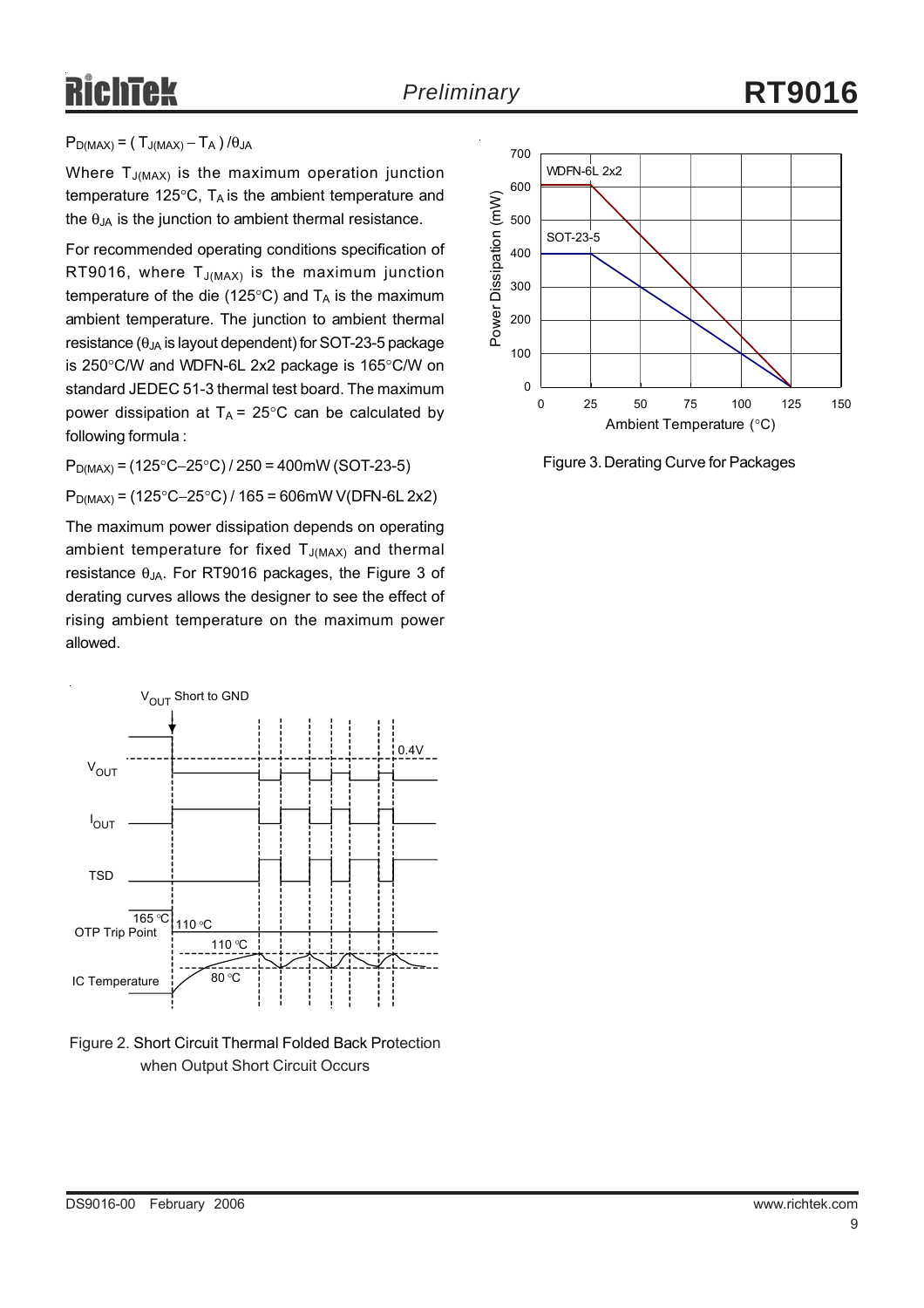# RichTek

#### $P_{D(MAX)} = (T_{J(MAX)} - T_A) / \theta_{JA}$

Where  $T_{J(MAX)}$  is the maximum operation junction temperature 125 $\degree$ C, T<sub>A</sub> is the ambient temperature and the  $\theta_{JA}$  is the junction to ambient thermal resistance.

For recommended operating conditions specification of RT9016, where  $T_{J(MAX)}$  is the maximum junction temperature of the die (125 $\degree$ C) and T<sub>A</sub> is the maximum ambient temperature. The junction to ambient thermal resistance ( $\theta_{JA}$  is layout dependent) for SOT-23-5 package is 250°C/W and WDFN-6L 2x2 package is 165°C/W on standard JEDEC 51-3 thermal test board. The maximum power dissipation at  $T_A = 25^{\circ}$ C can be calculated by following formula :

PD(MAX) = (125°C−25°C) / 250 = 400mW (SOT-23-5)

PD(MAX) = (125°C−25°C) / 165 = 606mW V(DFN-6L 2x2)

The maximum power dissipation depends on operating ambient temperature for fixed  $T_{J(MAX)}$  and thermal resistance  $θ_{JA}$ . For RT9016 packages, the Figure 3 of derating curves allows the designer to see the effect of rising ambient temperature on the maximum power allowed.



Figure 2. Short Circuit Thermal Folded Back Protection when Output Short Circuit Occurs



Figure 3. Derating Curve for Packages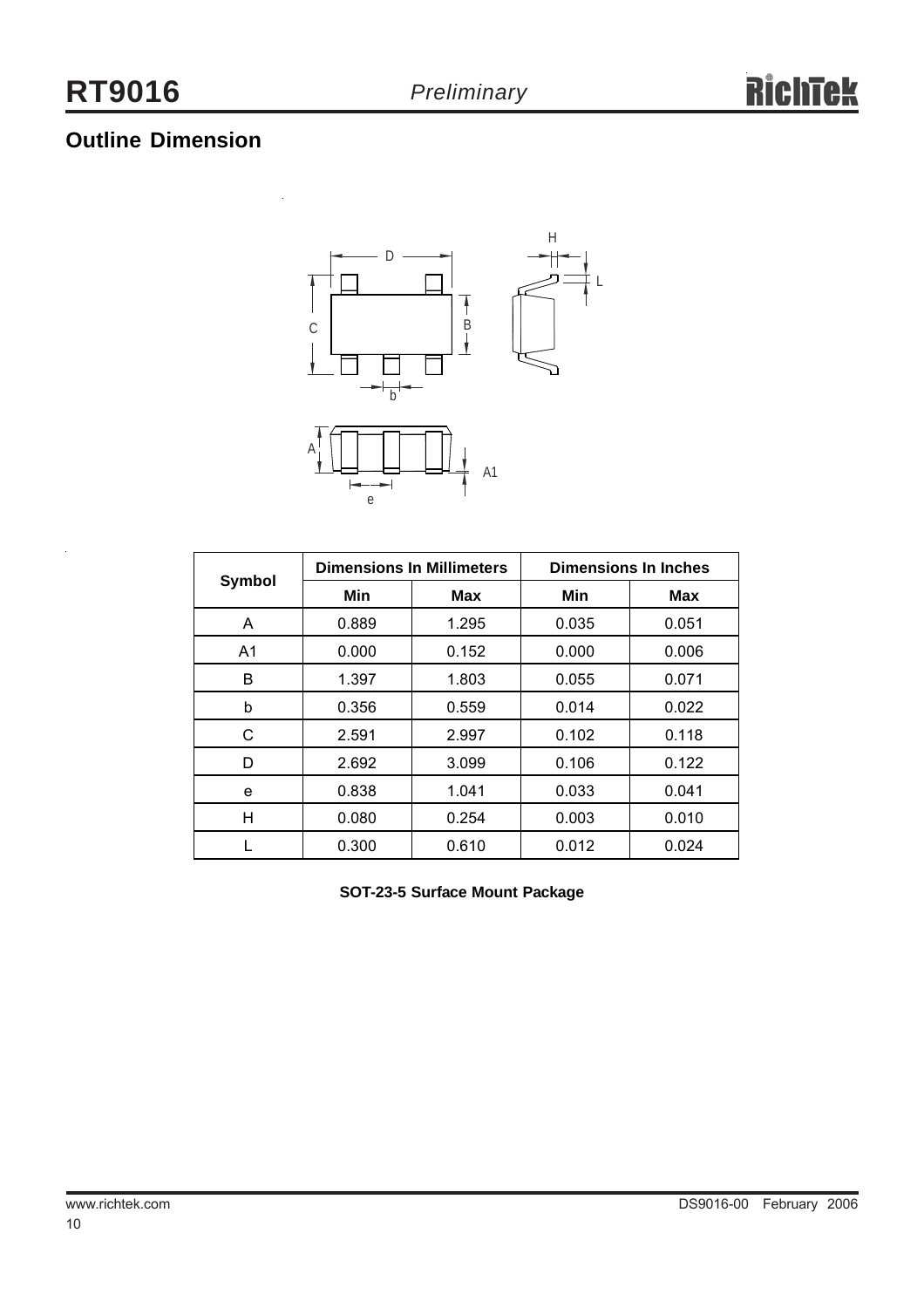### **Outline Dimension**



|                |       | <b>Dimensions In Millimeters</b> | <b>Dimensions In Inches</b> |            |  |
|----------------|-------|----------------------------------|-----------------------------|------------|--|
| Symbol         | Min   | <b>Max</b>                       | Min                         | <b>Max</b> |  |
| A              | 0.889 | 1.295                            | 0.035                       | 0.051      |  |
| A <sub>1</sub> | 0.000 | 0.152                            | 0.000                       | 0.006      |  |
| в              | 1.397 | 1.803                            | 0.055                       | 0.071      |  |
| b              | 0.356 | 0.559                            | 0.014                       | 0.022      |  |
| C              | 2.591 | 2.997                            | 0.102                       | 0.118      |  |
| D              | 2.692 | 3.099                            | 0.106                       | 0.122      |  |
| е              | 0.838 | 1.041                            | 0.033                       | 0.041      |  |
| н              | 0.080 | 0.254                            | 0.003                       | 0.010      |  |
|                | 0.300 | 0.610                            | 0.012                       | 0.024      |  |

**SOT-23-5 Surface Mount Package**